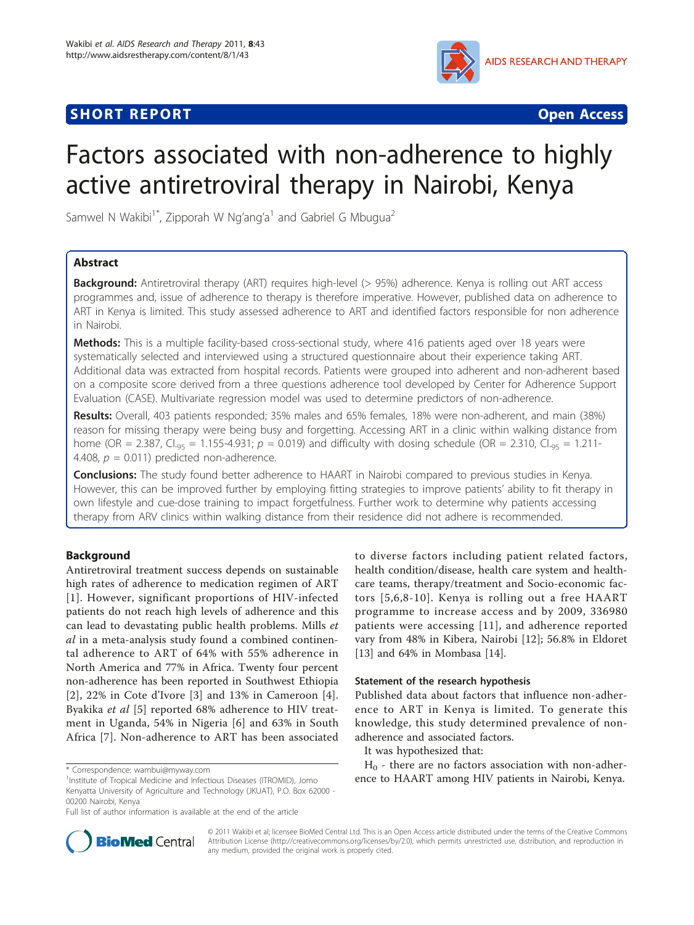## **SHORT REPORT SHORT CONSUMING THE CONSUMING THE CONSUMING THE CONSUMING THE CONSUMING THE CONSUMING THE CONSUMING THE CONSUMING THE CONSUMING THE CONSUMING THE CONSUMING THE CONSUMING THE CONSUMING THE CONSUMING THE CO**



# Factors associated with non-adherence to highly active antiretroviral therapy in Nairobi, Kenya

Samwel N Wakibi<sup>1\*</sup>, Zipporah W Ng'ang'a<sup>1</sup> and Gabriel G Mbugua<sup>2</sup>

## Abstract

**Background:** Antiretroviral therapy (ART) requires high-level (> 95%) adherence. Kenya is rolling out ART access programmes and, issue of adherence to therapy is therefore imperative. However, published data on adherence to ART in Kenya is limited. This study assessed adherence to ART and identified factors responsible for non adherence in Nairobi.

Methods: This is a multiple facility-based cross-sectional study, where 416 patients aged over 18 years were systematically selected and interviewed using a structured questionnaire about their experience taking ART. Additional data was extracted from hospital records. Patients were grouped into adherent and non-adherent based on a composite score derived from a three questions adherence tool developed by Center for Adherence Support Evaluation (CASE). Multivariate regression model was used to determine predictors of non-adherence.

Results: Overall, 403 patients responded; 35% males and 65% females, 18% were non-adherent, and main (38%) reason for missing therapy were being busy and forgetting. Accessing ART in a clinic within walking distance from home (OR = 2.387, Cl.<sub>95</sub> = 1.155-4.931;  $p = 0.019$ ) and difficulty with dosing schedule (OR = 2.310, Cl.<sub>95</sub> = 1.211-4.408,  $p = 0.011$ ) predicted non-adherence.

**Conclusions:** The study found better adherence to HAART in Nairobi compared to previous studies in Kenya. However, this can be improved further by employing fitting strategies to improve patients' ability to fit therapy in own lifestyle and cue-dose training to impact forgetfulness. Further work to determine why patients accessing therapy from ARV clinics within walking distance from their residence did not adhere is recommended.

## Background

Antiretroviral treatment success depends on sustainable high rates of adherence to medication regimen of ART [[1](#page-6-0)]. However, significant proportions of HIV-infected patients do not reach high levels of adherence and this can lead to devastating public health problems. Mills et al in a meta-analysis study found a combined continental adherence to ART of 64% with 55% adherence in North America and 77% in Africa. Twenty four percent non-adherence has been reported in Southwest Ethiopia [[2](#page-6-0)], 22% in Cote d'Ivore [[3](#page-6-0)] and 13% in Cameroon [[4](#page-6-0)]. Byakika et al [[5\]](#page-6-0) reported 68% adherence to HIV treatment in Uganda, 54% in Nigeria [\[6\]](#page-6-0) and 63% in South Africa [[7](#page-6-0)]. Non-adherence to ART has been associated

to diverse factors including patient related factors, health condition/disease, health care system and healthcare teams, therapy/treatment and Socio-economic factors [[5](#page-6-0),[6](#page-6-0),[8](#page-6-0)-[10](#page-6-0)]. Kenya is rolling out a free HAART programme to increase access and by 2009, 336980 patients were accessing [\[11\]](#page-6-0), and adherence reported vary from 48% in Kibera, Nairobi [[12\]](#page-6-0); 56.8% in Eldoret [[13\]](#page-6-0) and 64% in Mombasa [[14](#page-6-0)].

## Statement of the research hypothesis

Published data about factors that influence non-adherence to ART in Kenya is limited. To generate this knowledge, this study determined prevalence of nonadherence and associated factors.

It was hypothesized that:

 $H_0$  - there are no factors association with non-adherencespondence: [wambui@myway.com](mailto:wambui@myway.com)<br>
<sup>1</sup>Institute of Tropical Medicine and Infectious Diseases (ITROMID), Jomo<br> **ence to HAART among HIV patients in Nairobi, Kenya.** 



© 2011 Wakibi et al; licensee BioMed Central Ltd. This is an Open Access article distributed under the terms of the Creative Commons Attribution License [\(http://creativecommons.org/licenses/by/2.0](http://creativecommons.org/licenses/by/2.0)), which permits unrestricted use, distribution, and reproduction in any medium, provided the original work is properly cited.

<sup>&</sup>lt;sup>1</sup>Institute of Tropical Medicine and Infectious Diseases (ITROMID), Jomo Kenyatta University of Agriculture and Technology (JKUAT), P.O. Box 62000 - 00200 Nairobi, Kenya

Full list of author information is available at the end of the article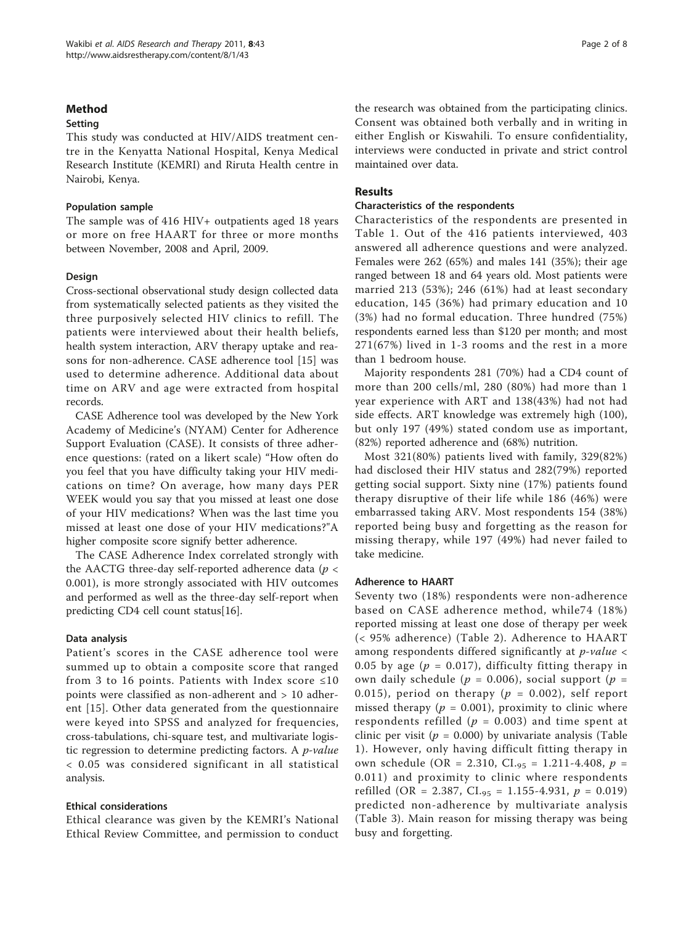## Method

#### **Setting**

This study was conducted at HIV/AIDS treatment centre in the Kenyatta National Hospital, Kenya Medical Research Institute (KEMRI) and Riruta Health centre in Nairobi, Kenya.

## Population sample

The sample was of 416 HIV+ outpatients aged 18 years or more on free HAART for three or more months between November, 2008 and April, 2009.

## Design

Cross-sectional observational study design collected data from systematically selected patients as they visited the three purposively selected HIV clinics to refill. The patients were interviewed about their health beliefs, health system interaction, ARV therapy uptake and reasons for non-adherence. CASE adherence tool [[15\]](#page-6-0) was used to determine adherence. Additional data about time on ARV and age were extracted from hospital records.

CASE Adherence tool was developed by the New York Academy of Medicine's (NYAM) Center for Adherence Support Evaluation (CASE). It consists of three adherence questions: (rated on a likert scale) "How often do you feel that you have difficulty taking your HIV medications on time? On average, how many days PER WEEK would you say that you missed at least one dose of your HIV medications? When was the last time you missed at least one dose of your HIV medications?"A higher composite score signify better adherence.

The CASE Adherence Index correlated strongly with the AACTG three-day self-reported adherence data ( $p <$ 0.001), is more strongly associated with HIV outcomes and performed as well as the three-day self-report when predicting CD4 cell count status[\[16\]](#page-6-0).

## Data analysis

Patient's scores in the CASE adherence tool were summed up to obtain a composite score that ranged from 3 to 16 points. Patients with Index score  $\leq 10$ points were classified as non-adherent and > 10 adherent [[15](#page-6-0)]. Other data generated from the questionnaire were keyed into SPSS and analyzed for frequencies, cross-tabulations, chi-square test, and multivariate logistic regression to determine predicting factors. A p-value < 0.05 was considered significant in all statistical analysis.

## Ethical considerations

Ethical clearance was given by the KEMRI's National Ethical Review Committee, and permission to conduct

the research was obtained from the participating clinics. Consent was obtained both verbally and in writing in either English or Kiswahili. To ensure confidentiality, interviews were conducted in private and strict control maintained over data.

## Results

## Characteristics of the respondents

Characteristics of the respondents are presented in Table [1](#page-2-0). Out of the 416 patients interviewed, 403 answered all adherence questions and were analyzed. Females were 262 (65%) and males 141 (35%); their age ranged between 18 and 64 years old. Most patients were married 213 (53%); 246 (61%) had at least secondary education, 145 (36%) had primary education and 10 (3%) had no formal education. Three hundred (75%) respondents earned less than \$120 per month; and most 271(67%) lived in 1-3 rooms and the rest in a more than 1 bedroom house.

Majority respondents 281 (70%) had a CD4 count of more than 200 cells/ml, 280 (80%) had more than 1 year experience with ART and 138(43%) had not had side effects. ART knowledge was extremely high (100), but only 197 (49%) stated condom use as important, (82%) reported adherence and (68%) nutrition.

Most 321(80%) patients lived with family, 329(82%) had disclosed their HIV status and 282(79%) reported getting social support. Sixty nine (17%) patients found therapy disruptive of their life while 186 (46%) were embarrassed taking ARV. Most respondents 154 (38%) reported being busy and forgetting as the reason for missing therapy, while 197 (49%) had never failed to take medicine.

## Adherence to HAART

Seventy two (18%) respondents were non-adherence based on CASE adherence method, while74 (18%) reported missing at least one dose of therapy per week (< 95% adherence) (Table [2](#page-4-0)). Adherence to HAART among respondents differed significantly at  $p$ -value  $\lt$ 0.05 by age ( $p = 0.017$ ), difficulty fitting therapy in own daily schedule ( $p = 0.006$ ), social support ( $p =$ 0.015), period on therapy ( $p = 0.002$ ), self report missed therapy ( $p = 0.001$ ), proximity to clinic where respondents refilled ( $p = 0.003$ ) and time spent at clinic per visit ( $p = 0.000$ ) by univariate analysis (Table [1](#page-2-0)). However, only having difficult fitting therapy in own schedule (OR = 2.310, CI.<sub>95</sub> = 1.211-4.408,  $p =$ 0.011) and proximity to clinic where respondents refilled (OR = 2.387, CI.<sub>95</sub> = 1.155-4.931,  $p = 0.019$ ) predicted non-adherence by multivariate analysis (Table [3](#page-5-0)). Main reason for missing therapy was being busy and forgetting.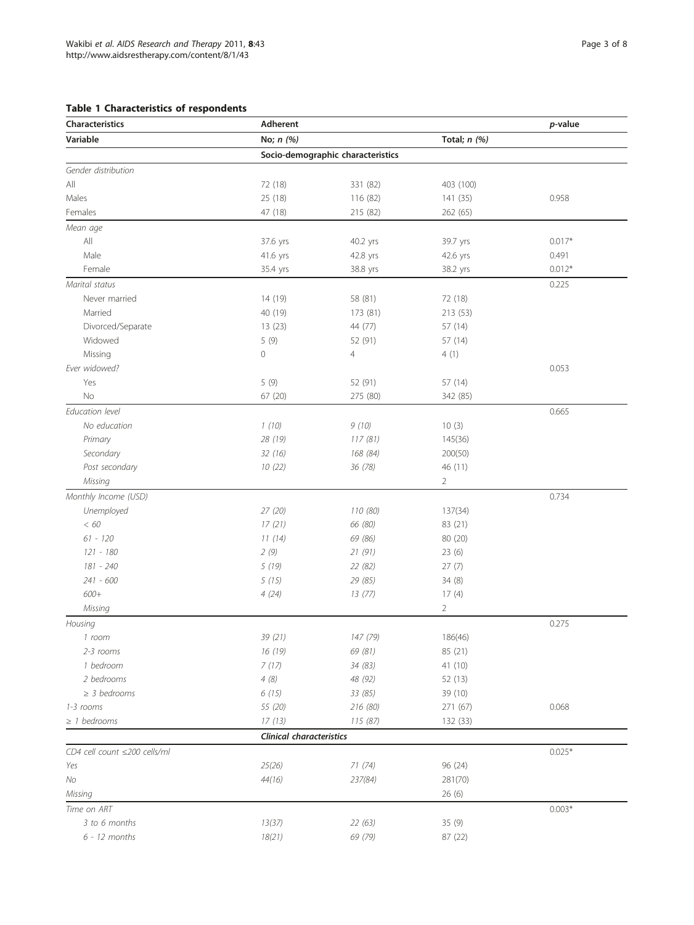## <span id="page-2-0"></span>Table 1 Characteristics of respondents

| <b>Characteristics</b>       | <b>Adherent</b>                   | $p$ -value     |                |          |
|------------------------------|-----------------------------------|----------------|----------------|----------|
| Variable<br>No; n (%)        |                                   |                |                |          |
|                              | Socio-demographic characteristics |                |                |          |
| Gender distribution          |                                   |                |                |          |
| All                          | 72 (18)                           | 331 (82)       | 403 (100)      |          |
| Males                        | 25 (18)                           | 116 (82)       | 141 (35)       | 0.958    |
| Females                      | 47 (18)                           | 215 (82)       | 262 (65)       |          |
| Mean age                     |                                   |                |                |          |
| All                          | 37.6 yrs                          | 40.2 yrs       | 39.7 yrs       | $0.017*$ |
| Male                         | 41.6 yrs                          | 42.8 yrs       | 42.6 yrs       | 0.491    |
| Female                       | 35.4 yrs                          | 38.8 yrs       | 38.2 yrs       | $0.012*$ |
| Marital status               |                                   |                |                | 0.225    |
| Never married                | 14 (19)                           | 58 (81)        | 72 (18)        |          |
| Married                      | 40 (19)                           | 173 (81)       | 213 (53)       |          |
| Divorced/Separate            | 13(23)                            | 44 (77)        | 57 (14)        |          |
| Widowed                      | 5(9)                              | 52 (91)        | 57 (14)        |          |
| Missing                      | 0                                 | $\overline{4}$ | 4(1)           |          |
| Ever widowed?                |                                   |                |                | 0.053    |
| Yes                          | 5(9)                              | 52 (91)        | 57(14)         |          |
| No                           | 67 (20)                           | 275 (80)       | 342 (85)       |          |
| Education level              |                                   |                |                | 0.665    |
| No education                 | 1(10)                             | 9(10)          | 10(3)          |          |
| Primary                      | 28 (19)                           | 117 (81)       | 145(36)        |          |
| Secondary                    | 32 (16)                           | 168 (84)       | 200(50)        |          |
| Post secondary               | 10(22)                            | 36 (78)        | 46 (11)        |          |
| Missing                      |                                   |                | $\overline{2}$ |          |
| Monthly Income (USD)         |                                   |                |                | 0.734    |
| Unemployed                   | 27(20)                            | 110 (80)       | 137(34)        |          |
| $< 60$                       | 17(21)                            | 66 (80)        | 83 (21)        |          |
| $61 - 120$                   | 11(14)                            | 69 (86)        | 80 (20)        |          |
| $121 - 180$                  | 2(9)                              | 21(91)         | 23 (6)         |          |
| 181 - 240                    | 5(19)                             | 22 (82)        | 27(7)          |          |
| $241 - 600$                  | 5(15)                             | 29 (85)        | 34(8)          |          |
| 600+                         | 4(24)                             | 13(77)         | 17(4)          |          |
| Missing                      |                                   |                | $\overline{2}$ |          |
| Housing                      |                                   |                |                | 0.275    |
| 1 room                       | 39 (21)                           | 147 (79)       | 186(46)        |          |
| 2-3 rooms                    | 16 (19)                           | 69 (81)        | 85 (21)        |          |
| 1 bedroom                    | 7(17)                             | 34 (83)        | 41 (10)        |          |
| 2 bedrooms                   | 4(8)                              | 48 (92)        | 52 (13)        |          |
| $\geq$ 3 bedrooms            | 6(15)                             | 33 (85)        | 39 (10)        |          |
| 1-3 rooms                    | 55 (20)                           | 216 (80)       | 271 (67)       | 0.068    |
| $\geq$ 1 bedrooms            | 17(13)                            | 115 (87)       | 132 (33)       |          |
|                              | <b>Clinical characteristics</b>   |                |                |          |
| CD4 cell count ≤200 cells/ml |                                   |                |                | $0.025*$ |
| Yes                          | 25(26)                            | 71(74)         | 96 (24)        |          |
| No                           | 44(16)                            | 237(84)        | 281(70)        |          |
| Missing                      |                                   |                | 26(6)          |          |
| Time on ART                  |                                   |                |                | $0.003*$ |
| 3 to 6 months                | 13(37)                            | 22(63)         | 35(9)          |          |
| $6 - 12$ months              | 18(21)                            | 69 (79)        | 87 (22)        |          |
|                              |                                   |                |                |          |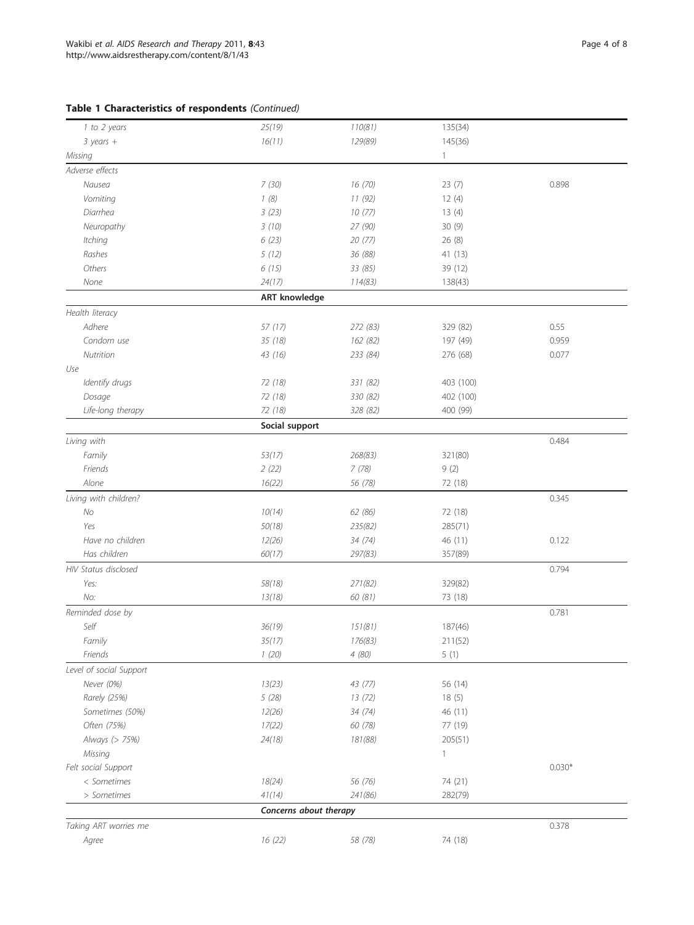|  |  | Table 1 Characteristics of respondents (Continued) |  |  |  |
|--|--|----------------------------------------------------|--|--|--|
|--|--|----------------------------------------------------|--|--|--|

| 1 to 2 years            | 25(19)                 | 110(81)  | 135(34)      |          |
|-------------------------|------------------------|----------|--------------|----------|
| $3 years +$             | 16(11)                 | 129(89)  | 145(36)      |          |
| Missing                 |                        |          | $\mathbf{1}$ |          |
| Adverse effects         |                        |          |              |          |
| Nausea                  | 7(30)                  | 16(70)   | 23(7)        | 0.898    |
| Vomiting                | 1(8)                   | 11(92)   | 12(4)        |          |
| Diarrhea                | 3(23)                  | 10(77)   | 13(4)        |          |
| Neuropathy              | 3(10)                  | 27 (90)  | 30 (9)       |          |
| Itching                 | 6(23)                  | 20 (77)  | 26 (8)       |          |
| Rashes                  | 5(12)                  | 36 (88)  | 41 (13)      |          |
| Others                  | 6 (15)                 | 33 (85)  | 39 (12)      |          |
| None                    | 24(17)                 | 114(83)  | 138(43)      |          |
|                         | <b>ART knowledge</b>   |          |              |          |
| Health literacy         |                        |          |              |          |
| Adhere                  | 57 (17)                | 272 (83) | 329 (82)     | 0.55     |
| Condom use              | 35 (18)                | 162 (82) | 197 (49)     | 0.959    |
| Nutrition               | 43 (16)                | 233 (84) | 276 (68)     | 0.077    |
| Use                     |                        |          |              |          |
| Identify drugs          | 72 (18)                | 331 (82) | 403 (100)    |          |
| Dosage                  | 72 (18)                | 330 (82) | 402 (100)    |          |
| Life-long therapy       | 72 (18)                | 328 (82) | 400 (99)     |          |
|                         | Social support         |          |              |          |
| Living with             |                        |          |              | 0.484    |
| Family                  | 53(17)                 | 268(83)  | 321(80)      |          |
| Friends                 | 2(22)                  | 7(78)    | 9(2)         |          |
| Alone                   | 16(22)                 | 56 (78)  | 72 (18)      |          |
| Living with children?   |                        |          |              | 0.345    |
| No                      | 10(14)                 | 62 (86)  | 72 (18)      |          |
| Yes                     | 50(18)                 | 235(82)  | 285(71)      |          |
| Have no children        | 12(26)                 | 34 (74)  | 46 (11)      | 0.122    |
| Has children            | 60(17)                 | 297(83)  | 357(89)      |          |
| HIV Status disclosed    |                        |          |              | 0.794    |
| Yes:                    | 58(18)                 | 271(82)  | 329(82)      |          |
| No:                     | 13(18)                 | 60 (81)  | 73 (18)      |          |
|                         |                        |          |              |          |
| Reminded dose by        |                        |          |              | 0.781    |
| Self                    | 36(19)                 | 151(81)  | 187(46)      |          |
| Family<br>Friends       | 35(17)                 | 176(83)  | 211(52)      |          |
|                         | 1(20)                  | 4 (80)   | 5(1)         |          |
| Level of social Support |                        |          |              |          |
| Never (0%)              | 13(23)                 | 43 (77)  | 56 (14)      |          |
| Rarely (25%)            | 5(28)                  | 13 (72)  | 18(5)        |          |
| Sometimes (50%)         | 12(26)                 | 34 (74)  | 46 (11)      |          |
| Often (75%)             | 17(22)                 | 60 (78)  | 77 (19)      |          |
| Always (> 75%)          | 24(18)                 | 181(88)  | 205(51)      |          |
| Missing                 |                        |          | $\mathbf{1}$ |          |
| Felt social Support     |                        |          |              | $0.030*$ |
| < Sometimes             | 18(24)                 | 56 (76)  | 74 (21)      |          |
| > Sometimes             | 41(14)                 | 241(86)  | 282(79)      |          |
|                         | Concerns about therapy |          |              |          |
| Taking ART worries me   |                        |          |              | 0.378    |
| Agree                   | 16 (22)                | 58 (78)  | 74 (18)      |          |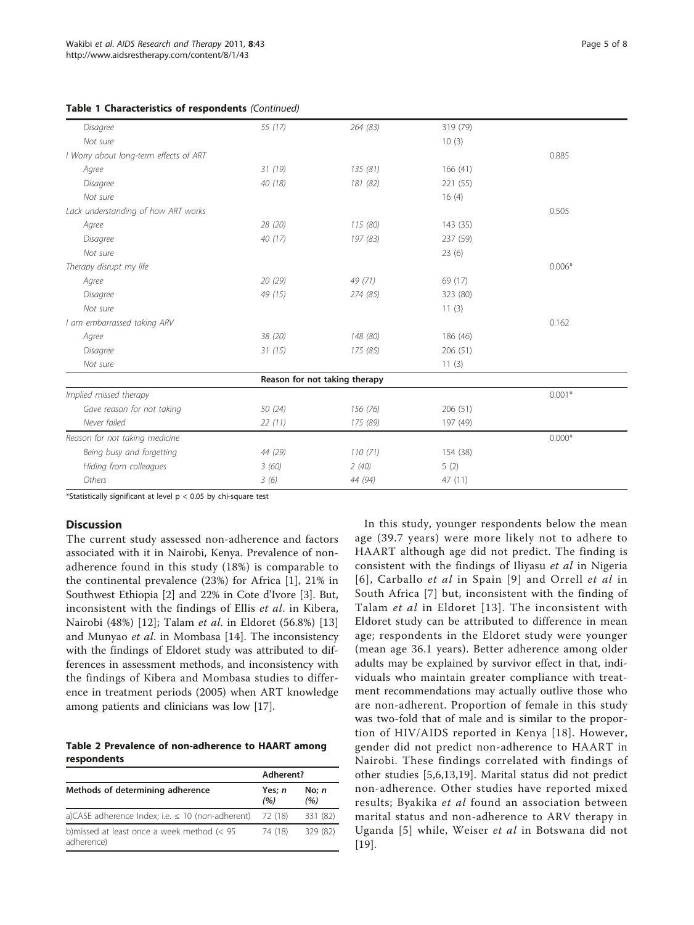<span id="page-4-0"></span>

|  |  | Table 1 Characteristics of respondents (Continued) |  |  |  |
|--|--|----------------------------------------------------|--|--|--|
|--|--|----------------------------------------------------|--|--|--|

| Disagree                               | 55 (17) | 264 (83)                      | 319 (79) |          |
|----------------------------------------|---------|-------------------------------|----------|----------|
| Not sure                               |         |                               | 10(3)    |          |
| I Worry about long-term effects of ART |         |                               |          | 0.885    |
| Agree                                  | 31(19)  | 135 (81)                      | 166(41)  |          |
| Disagree                               | 40 (18) | 181 (82)                      | 221 (55) |          |
| Not sure                               |         |                               | 16(4)    |          |
| Lack understanding of how ART works    |         |                               |          | 0.505    |
| Agree                                  | 28 (20) | 115 (80)                      | 143(35)  |          |
| Disagree                               | 40 (17) | 197 (83)                      | 237 (59) |          |
| Not sure                               |         |                               | 23(6)    |          |
| Therapy disrupt my life                |         |                               |          | $0.006*$ |
| Agree                                  | 20(29)  | 49 (71)                       | 69 (17)  |          |
| Disagree                               | 49 (15) | 274 (85)                      | 323 (80) |          |
| Not sure                               |         |                               | 11(3)    |          |
| I am embarrassed taking ARV            |         |                               |          | 0.162    |
| Agree                                  | 38 (20) | 148 (80)                      | 186 (46) |          |
| Disagree                               | 31(15)  | 175 (85)                      | 206 (51) |          |
| Not sure                               |         |                               | 11(3)    |          |
|                                        |         | Reason for not taking therapy |          |          |
| Implied missed therapy                 |         |                               |          | $0.001*$ |
| Gave reason for not taking             | 50(24)  | 156 (76)                      | 206 (51) |          |
| Never failed                           | 22(11)  | 175 (89)                      | 197 (49) |          |
| Reason for not taking medicine         |         |                               |          | $0.000*$ |
| Being busy and forgetting              | 44 (29) | 110(71)                       | 154 (38) |          |
| Hiding from colleagues                 | 3(60)   | 2(40)                         | 5(2)     |          |
| Others                                 | 3(6)    | 44 (94)                       | 47(11)   |          |
|                                        |         |                               |          |          |

\*Statistically significant at level  $p < 0.05$  by chi-square test

## **Discussion**

The current study assessed non-adherence and factors associated with it in Nairobi, Kenya. Prevalence of nonadherence found in this study (18%) is comparable to the continental prevalence (23%) for Africa [[1\]](#page-6-0), 21% in Southwest Ethiopia [\[2](#page-6-0)] and 22% in Cote d'Ivore [[3](#page-6-0)]. But, inconsistent with the findings of Ellis et al. in Kibera, Nairobi (48%) [[12\]](#page-6-0); Talam et al. in Eldoret (56.8%) [\[13](#page-6-0)] and Munyao et al. in Mombasa [[14](#page-6-0)]. The inconsistency with the findings of Eldoret study was attributed to differences in assessment methods, and inconsistency with the findings of Kibera and Mombasa studies to difference in treatment periods (2005) when ART knowledge among patients and clinicians was low [\[17\]](#page-6-0).

Table 2 Prevalence of non-adherence to HAART among respondents

|                                                               | Adherent?     |                |  |
|---------------------------------------------------------------|---------------|----------------|--|
| Methods of determining adherence                              | Yes; n<br>(%) | No: $n$<br>(%) |  |
| a)CASE adherence Index; i.e. $\leq$ 10 (non-adherent)         | 72 (18)       | 331 (82)       |  |
| b) missed at least once a week method $\leq 95$<br>adherence) | 74 (18)       | 329 (82)       |  |

In this study, younger respondents below the mean age (39.7 years) were more likely not to adhere to HAART although age did not predict. The finding is consistent with the findings of Iliyasu et al in Nigeria [[6\]](#page-6-0), Carballo et al in Spain [[9](#page-6-0)] and Orrell et al in South Africa [[7](#page-6-0)] but, inconsistent with the finding of Talam et al in Eldoret [[13](#page-6-0)]. The inconsistent with Eldoret study can be attributed to difference in mean age; respondents in the Eldoret study were younger (mean age 36.1 years). Better adherence among older adults may be explained by survivor effect in that, individuals who maintain greater compliance with treatment recommendations may actually outlive those who are non-adherent. Proportion of female in this study was two-fold that of male and is similar to the proportion of HIV/AIDS reported in Kenya [[18\]](#page-6-0). However, gender did not predict non-adherence to HAART in Nairobi. These findings correlated with findings of other studies [\[5,6,13,19\]](#page-6-0). Marital status did not predict non-adherence. Other studies have reported mixed results; Byakika et al found an association between marital status and non-adherence to ARV therapy in Uganda [[5](#page-6-0)] while, Weiser et al in Botswana did not [[19\]](#page-6-0).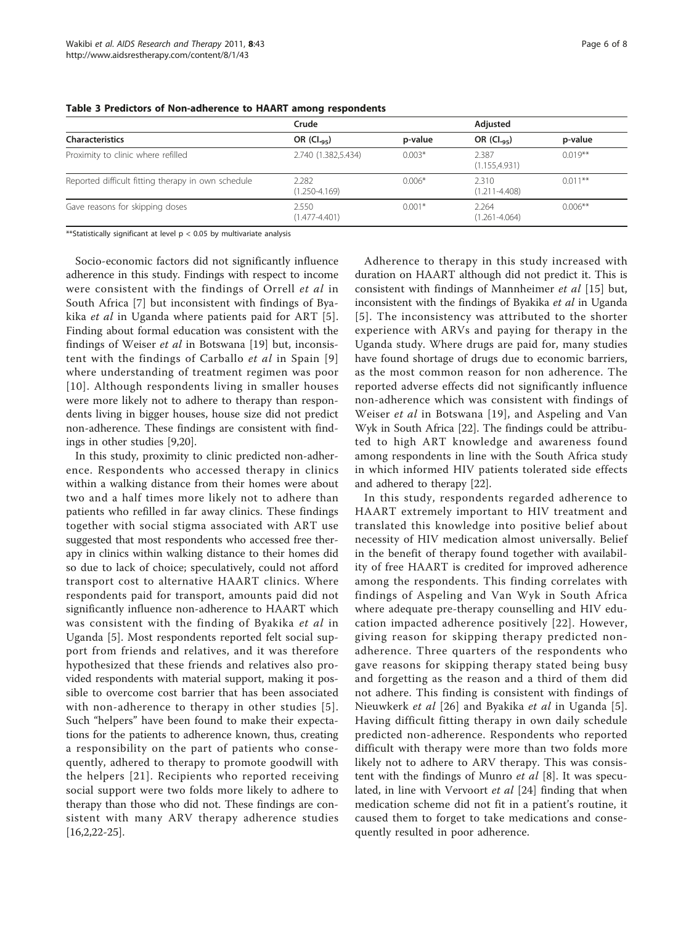|                                                    | Crude                      |          | Adjusted                   |           |
|----------------------------------------------------|----------------------------|----------|----------------------------|-----------|
| <b>Characteristics</b>                             | OR $(Cl._95)$              | p-value  | OR $(Cl.95)$               | p-value   |
| Proximity to clinic where refilled                 | 2.740 (1.382,5.434)        | $0.003*$ | 2.387<br>(1.155, 4.931)    | $0.019**$ |
| Reported difficult fitting therapy in own schedule | 2.282<br>$(1.250 - 4.169)$ | $0.006*$ | 2.310<br>$(1.211 - 4.408)$ | $0.011**$ |
| Gave reasons for skipping doses                    | 2.550<br>$(1.477 - 4.401)$ | $0.001*$ | 2.264<br>$(1.261 - 4.064)$ | $0.006**$ |

<span id="page-5-0"></span>Table 3 Predictors of Non-adherence to HAART among respondents

\*\*Statistically significant at level  $p < 0.05$  by multivariate analysis

Socio-economic factors did not significantly influence adherence in this study. Findings with respect to income were consistent with the findings of Orrell et al in South Africa [\[7](#page-6-0)] but inconsistent with findings of Byakika et al in Uganda where patients paid for ART [[5](#page-6-0)]. Finding about formal education was consistent with the findings of Weiser et al in Botswana [\[19](#page-6-0)] but, inconsistent with the findings of Carballo et al in Spain [[9](#page-6-0)] where understanding of treatment regimen was poor [[10\]](#page-6-0). Although respondents living in smaller houses were more likely not to adhere to therapy than respondents living in bigger houses, house size did not predict non-adherence. These findings are consistent with findings in other studies [[9,20\]](#page-6-0).

In this study, proximity to clinic predicted non-adherence. Respondents who accessed therapy in clinics within a walking distance from their homes were about two and a half times more likely not to adhere than patients who refilled in far away clinics. These findings together with social stigma associated with ART use suggested that most respondents who accessed free therapy in clinics within walking distance to their homes did so due to lack of choice; speculatively, could not afford transport cost to alternative HAART clinics. Where respondents paid for transport, amounts paid did not significantly influence non-adherence to HAART which was consistent with the finding of Byakika et al in Uganda [\[5](#page-6-0)]. Most respondents reported felt social support from friends and relatives, and it was therefore hypothesized that these friends and relatives also provided respondents with material support, making it possible to overcome cost barrier that has been associated with non-adherence to therapy in other studies [[5\]](#page-6-0). Such "helpers" have been found to make their expectations for the patients to adherence known, thus, creating a responsibility on the part of patients who consequently, adhered to therapy to promote goodwill with the helpers [[21](#page-6-0)]. Recipients who reported receiving social support were two folds more likely to adhere to therapy than those who did not. These findings are consistent with many ARV therapy adherence studies [[16,2,22-25\]](#page-6-0).

Adherence to therapy in this study increased with duration on HAART although did not predict it. This is consistent with findings of Mannheimer et al [[15\]](#page-6-0) but, inconsistent with the findings of Byakika et al in Uganda [[5\]](#page-6-0). The inconsistency was attributed to the shorter experience with ARVs and paying for therapy in the Uganda study. Where drugs are paid for, many studies have found shortage of drugs due to economic barriers, as the most common reason for non adherence. The reported adverse effects did not significantly influence non-adherence which was consistent with findings of Weiser et al in Botswana [[19](#page-6-0)], and Aspeling and Van Wyk in South Africa [\[22](#page-6-0)]. The findings could be attributed to high ART knowledge and awareness found among respondents in line with the South Africa study in which informed HIV patients tolerated side effects and adhered to therapy [[22\]](#page-6-0).

In this study, respondents regarded adherence to HAART extremely important to HIV treatment and translated this knowledge into positive belief about necessity of HIV medication almost universally. Belief in the benefit of therapy found together with availability of free HAART is credited for improved adherence among the respondents. This finding correlates with findings of Aspeling and Van Wyk in South Africa where adequate pre-therapy counselling and HIV education impacted adherence positively [[22\]](#page-6-0). However, giving reason for skipping therapy predicted nonadherence. Three quarters of the respondents who gave reasons for skipping therapy stated being busy and forgetting as the reason and a third of them did not adhere. This finding is consistent with findings of Nieuwkerk et al [[26](#page-7-0)] and Byakika et al in Uganda [[5](#page-6-0)]. Having difficult fitting therapy in own daily schedule predicted non-adherence. Respondents who reported difficult with therapy were more than two folds more likely not to adhere to ARV therapy. This was consistent with the findings of Munro et al [[8\]](#page-6-0). It was speculated, in line with Vervoort et al [[24\]](#page-6-0) finding that when medication scheme did not fit in a patient's routine, it caused them to forget to take medications and consequently resulted in poor adherence.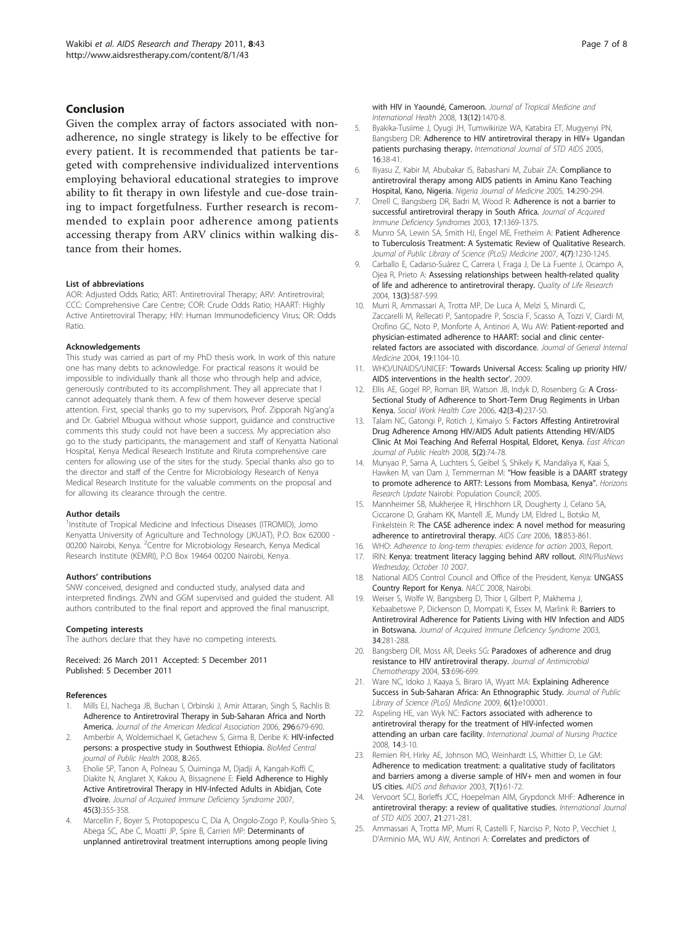#### <span id="page-6-0"></span>Conclusion

Given the complex array of factors associated with nonadherence, no single strategy is likely to be effective for every patient. It is recommended that patients be targeted with comprehensive individualized interventions employing behavioral educational strategies to improve ability to fit therapy in own lifestyle and cue-dose training to impact forgetfulness. Further research is recommended to explain poor adherence among patients accessing therapy from ARV clinics within walking distance from their homes.

#### List of abbreviations

AOR: Adjusted Odds Ratio; ART: Antiretroviral Therapy; ARV: Antiretroviral; CCC: Comprehensive Care Centre; COR: Crude Odds Ratio; HAART: Highly Active Antiretroviral Therapy; HIV: Human Immunodeficiency Virus; OR: Odds Ratio.

#### Acknowledgements

This study was carried as part of my PhD thesis work. In work of this nature one has many debts to acknowledge. For practical reasons it would be impossible to individually thank all those who through help and advice, generously contributed to its accomplishment. They all appreciate that I cannot adequately thank them. A few of them however deserve special attention. First, special thanks go to my supervisors, Prof. Zipporah Ng'ang'a and Dr. Gabriel Mbugua without whose support, guidance and constructive comments this study could not have been a success. My appreciation also go to the study participants, the management and staff of Kenyatta National Hospital, Kenya Medical Research Institute and Riruta comprehensive care centers for allowing use of the sites for the study. Special thanks also go to the director and staff of the Centre for Microbiology Research of Kenya Medical Research Institute for the valuable comments on the proposal and for allowing its clearance through the centre.

#### Author details

<sup>1</sup>Institute of Tropical Medicine and Infectious Diseases (ITROMID), Jomo Kenyatta University of Agriculture and Technology (JKUAT), P.O. Box 62000 - 00200 Nairobi, Kenya. <sup>2</sup>Centre for Microbiology Research, Kenya Medical Research Institute (KEMRI), P.O Box 19464 00200 Nairobi, Kenya.

#### Authors' contributions

SNW conceived, designed and conducted study, analysed data and interpreted findings. ZWN and GGM supervised and guided the student. All authors contributed to the final report and approved the final manuscript.

#### Competing interests

The authors declare that they have no competing interests.

#### Received: 26 March 2011 Accepted: 5 December 2011 Published: 5 December 2011

#### References

- 1. Mills EJ, Nachega JB, Buchan I, Orbinski J, Amir Attaran, Singh S, Rachlis B: [Adherence to Antiretroviral Therapy in Sub-Saharan Africa and North](http://www.ncbi.nlm.nih.gov/pubmed/16896111?dopt=Abstract) [America.](http://www.ncbi.nlm.nih.gov/pubmed/16896111?dopt=Abstract) Journal of the American Medical Association 2006, 296:679-690.
- 2. Amberbir A, Woldemichael K, Getachew S, Girma B, Deribe K: HIV-infected persons: a prospective study in Southwest Ethiopia. BioMed Central journal of Public Health 2008, 8:265.
- 3. Eholie SP, Tanon A, Polneau S, Ouiminga M, Djadji A, Kangah-Koffi C, Diakite N, Anglaret X, Kakou A, Bissagnene E: Field Adherence to Highly Active Antiretroviral Therapy in HIV-Infected Adults in Abidjan, Cote d'Ivoire. Journal of Acquired Immune Deficiency Syndrome 2007, 45(3):355-358.
- Marcellin F, Boyer S, Protopopescu C, Dia A, Ongolo-Zogo P, Koulla-Shiro S, Abega SC, Abe C, Moatti JP, Spire B, Carrieri MP: Determinants of unplanned antiretroviral treatment interruptions among people living

with HIV in Yaoundé, Cameroon. Journal of Tropical Medicine and International Health 2008, 13(12):1470-8.

- 5. Byakika-Tusiime J, Oyugi JH, Tumwikirize WA, Katabira ET, Mugyenyi PN, Bangsberg DR: [Adherence to HIV antiretroviral therapy in HIV+ Ugandan](http://www.ncbi.nlm.nih.gov/pubmed/15705271?dopt=Abstract) [patients purchasing therapy.](http://www.ncbi.nlm.nih.gov/pubmed/15705271?dopt=Abstract) International Journal of STD AIDS 2005, 16:38-41.
- 6. Iliyasu Z, Kabir M, Abubakar IS, Babashani M, Zubair ZA: Compliance to antiretroviral therapy among AIDS patients in Aminu Kano Teaching Hospital, Kano, Nigeria. Nigeria Journal of Medicine 2005, 14:290-294.
- 7. Orrell C, Bangsberg DR, Badri M, Wood R: Adherence is not a barrier to successful antiretroviral therapy in South Africa. Journal of Acquired Immune Deficiency Syndromes 2003, 17:1369-1375.
- 8. Munro SA, Lewin SA, Smith HJ, Engel ME, Fretheim A: Patient Adherence to Tuberculosis Treatment: A Systematic Review of Qualitative Research. Journal of Public Library of Science (PLoS) Medicine 2007, 4(7):1230-1245.
- 9. Carballo E, Cadarso-Suárez C, Carrera I, Fraga J, De La Fuente J, Ocampo A, Ojea R, Prieto A: [Assessing relationships between health-related quality](http://www.ncbi.nlm.nih.gov/pubmed/15130023?dopt=Abstract) [of life and adherence to antiretroviral therapy.](http://www.ncbi.nlm.nih.gov/pubmed/15130023?dopt=Abstract) Quality of Life Research 2004, 13(3):587-599.
- 10. Murri R, Ammassari A, Trotta MP, De Luca A, Melzi S, Minardi C, Zaccarelli M, Rellecati P, Santopadre P, Soscia F, Scasso A, Tozzi V, Ciardi M, Orofino GC, Noto P, Monforte A, Antinori A, Wu AW: [Patient-reported and](http://www.ncbi.nlm.nih.gov/pubmed/15566439?dopt=Abstract) [physician-estimated adherence to HAART: social and clinic center](http://www.ncbi.nlm.nih.gov/pubmed/15566439?dopt=Abstract)[related factors are associated with discordance.](http://www.ncbi.nlm.nih.gov/pubmed/15566439?dopt=Abstract) Journal of General Internal Medicine 2004, 19:1104-10.
- 11. WHO/UNAIDS/UNICEF: 'Towards Universal Access: Scaling up priority HIV/ AIDS interventions in the health sector'. 2009.
- 12. Ellis AE, Gogel RP, Roman BR, Watson JB, Indyk D, Rosenberg G: A Cross-Sectional Study of Adherence to Short-Term Drug Regiments in Urban Kenya. Social Work Health Care 2006, 42(3-4):237-50.
- 13. Talam NC, Gatongi P, Rotich J, Kimaiyo S: [Factors Affesting Antiretroviral](http://www.ncbi.nlm.nih.gov/pubmed/19024414?dopt=Abstract) [Drug Adherence Among HIV/AIDS Adult patients Attending HIV/AIDS](http://www.ncbi.nlm.nih.gov/pubmed/19024414?dopt=Abstract) [Clinic At Moi Teaching And Referral Hospital, Eldoret, Kenya.](http://www.ncbi.nlm.nih.gov/pubmed/19024414?dopt=Abstract) East African Journal of Public Health 2008, 5(2):74-78.
- 14. Munyao P, Sarna A, Luchters S, Geibel S, Shikely K, Mandaliya K, Kaai S, Hawken M, van Dam J, Temmerman M: "How feasible is a DAART strategy to promote adherence to ART?: Lessons from Mombasa, Kenya". Horizons Research Update Nairobi: Population Council; 2005.
- 15. Mannheimer SB, Mukherjee R, Hirschhorn LR, Dougherty J, Celano SA, Ciccarone D, Graham KK, Mantell JE, Mundy LM, Eldred L, Botsko M, Finkelstein R: [The CASE adherence index: A novel method for measuring](http://www.ncbi.nlm.nih.gov/pubmed/16971298?dopt=Abstract) [adherence to antiretroviral therapy.](http://www.ncbi.nlm.nih.gov/pubmed/16971298?dopt=Abstract) AIDS Care 2006, 18:853-861
- 16. WHO: Adherence to long-term therapies: evidence for action 2003, Report.
- 17. IRIN: Kenya: treatment literacy lagging behind ARV rollout. IRIN/PlusNews Wednesday, October 10 2007.
- 18. National AIDS Control Council and Office of the President, Kenya: UNGASS Country Report for Kenya. NACC 2008, Nairobi.
- 19. Weiser S, Wolfe W, Bangsberg D, Thior I, Gilbert P, Makhema J, Kebaabetswe P, Dickenson D, Mompati K, Essex M, Marlink R: Barriers to Antiretroviral Adherence for Patients Living with HIV Infection and AIDS in Botswana. Journal of Acquired Immune Deficiency Syndrome 2003, 34:281-288.
- 20. Bangsberg DR, Moss AR, Deeks SG: [Paradoxes of adherence and drug](http://www.ncbi.nlm.nih.gov/pubmed/15044425?dopt=Abstract) [resistance to HIV antiretroviral therapy.](http://www.ncbi.nlm.nih.gov/pubmed/15044425?dopt=Abstract) Journal of Antimicrobial Chemotherapy 2004, 53:696-699.
- 21. Ware NC, Idoko J, Kaaya S, Biraro IA, Wyatt MA: Explaining Adherence Success in Sub-Saharan Africa: An Ethnographic Study. Journal of Public Library of Science (PLoS) Medicine 2009, 6(1):e100001.
- 22. Aspeling HE, van Wyk NC: [Factors associated with adherence to](http://www.ncbi.nlm.nih.gov/pubmed/18190478?dopt=Abstract) [antiretroviral therapy for the treatment of HIV-infected women](http://www.ncbi.nlm.nih.gov/pubmed/18190478?dopt=Abstract) [attending an urban care facility.](http://www.ncbi.nlm.nih.gov/pubmed/18190478?dopt=Abstract) International Journal of Nursing Practice 2008, 14:3-10.
- 23. Remien RH, Hirky AE, Johnson MO, Weinhardt LS, Whittier D, Le GM: [Adherence to medication treatment: a qualitative study of facilitators](http://www.ncbi.nlm.nih.gov/pubmed/14534391?dopt=Abstract) [and barriers among a diverse sample of HIV+ men and women in four](http://www.ncbi.nlm.nih.gov/pubmed/14534391?dopt=Abstract) [US cities.](http://www.ncbi.nlm.nih.gov/pubmed/14534391?dopt=Abstract) AIDS and Behavior 2003, 7(1):61-72.
- 24. Vervoort SCJ, Borleffs JCC, Hoepelman AIM, Grypdonck MHF: Adherence in antiretroviral therapy: a review of qualitative studies. International Journal of STD AIDS 2007, 21:271-281.
- 25. Ammassari A, Trotta MP, Murri R, Castelli F, Narciso P, Noto P, Vecchiet J, D'Arminio MA, WU AW, Antinori A: [Correlates and predictors of](http://www.ncbi.nlm.nih.gov/pubmed/12562034?dopt=Abstract)